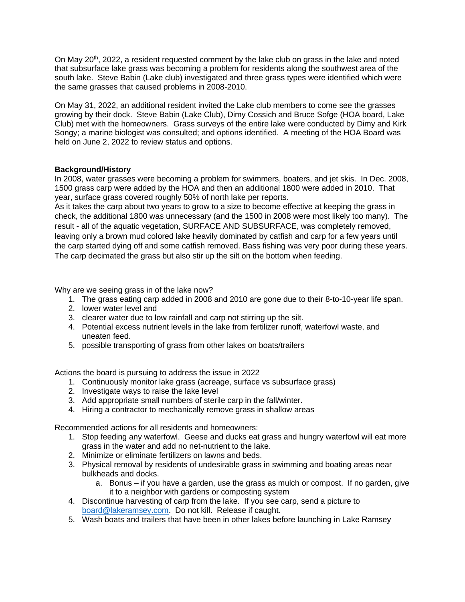On May 20<sup>th</sup>, 2022, a resident requested comment by the lake club on grass in the lake and noted that subsurface lake grass was becoming a problem for residents along the southwest area of the south lake. Steve Babin (Lake club) investigated and three grass types were identified which were the same grasses that caused problems in 2008-2010.

On May 31, 2022, an additional resident invited the Lake club members to come see the grasses growing by their dock. Steve Babin (Lake Club), Dimy Cossich and Bruce Sofge (HOA board, Lake Club) met with the homeowners. Grass surveys of the entire lake were conducted by Dimy and Kirk Songy; a marine biologist was consulted; and options identified. A meeting of the HOA Board was held on June 2, 2022 to review status and options.

## **Background/History**

In 2008, water grasses were becoming a problem for swimmers, boaters, and jet skis. In Dec. 2008, 1500 grass carp were added by the HOA and then an additional 1800 were added in 2010. That year, surface grass covered roughly 50% of north lake per reports.

As it takes the carp about two years to grow to a size to become effective at keeping the grass in check, the additional 1800 was unnecessary (and the 1500 in 2008 were most likely too many). The result - all of the aquatic vegetation, SURFACE AND SUBSURFACE, was completely removed, leaving only a brown mud colored lake heavily dominated by catfish and carp for a few years until the carp started dying off and some catfish removed. Bass fishing was very poor during these years. The carp decimated the grass but also stir up the silt on the bottom when feeding.

Why are we seeing grass in of the lake now?

- 1. The grass eating carp added in 2008 and 2010 are gone due to their 8-to-10-year life span.
- 2. lower water level and
- 3. clearer water due to low rainfall and carp not stirring up the silt.
- 4. Potential excess nutrient levels in the lake from fertilizer runoff, waterfowl waste, and uneaten feed.
- 5. possible transporting of grass from other lakes on boats/trailers

Actions the board is pursuing to address the issue in 2022

- 1. Continuously monitor lake grass (acreage, surface vs subsurface grass)
- 2. Investigate ways to raise the lake level
- 3. Add appropriate small numbers of sterile carp in the fall/winter.
- 4. Hiring a contractor to mechanically remove grass in shallow areas

Recommended actions for all residents and homeowners:

- 1. Stop feeding any waterfowl. Geese and ducks eat grass and hungry waterfowl will eat more grass in the water and add no net-nutrient to the lake.
- 2. Minimize or eliminate fertilizers on lawns and beds.
- 3. Physical removal by residents of undesirable grass in swimming and boating areas near bulkheads and docks.
	- a. Bonus if you have a garden, use the grass as mulch or compost. If no garden, give it to a neighbor with gardens or composting system
- 4. Discontinue harvesting of carp from the lake. If you see carp, send a picture to board@lakeramsey.com. Do not kill. Release if caught.
- 5. Wash boats and trailers that have been in other lakes before launching in Lake Ramsey